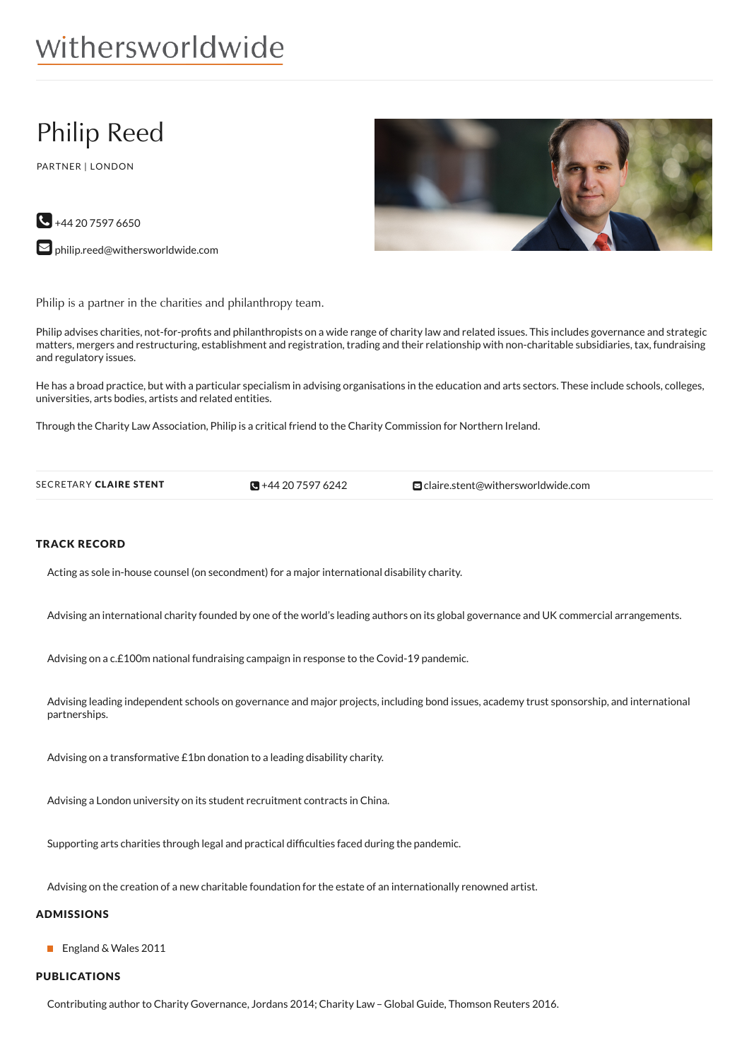# withersworldwide

# Philip Reed

PARTNER | LONDON



 $\bigodot$  +44 20 7597 6650

**D** [philip.reed@withersworldwide.com](mailto:philip.reed@withersworldwide.com?subject=Website Enquiry - Profile Page)

Philip is a partner in the charities and philanthropy team.

Philip advises charities, not-for-profits and philanthropists on a wide range of charity law and related issues. This includes governance and strategic matters, mergers and restructuring, establishment and registration, trading and their relationship with non-charitable subsidiaries, tax, fundraising and regulatory issues.

He has a broad practice, but with a particular specialism in advising organisations in the education and arts sectors. These include schools, colleges, universities, arts bodies, artists and related entities.

Through the Charity Law Association, Philip is a critical friend to the Charity Commission for Northern Ireland.

SECRETARY CLAIRE STENT +44 20 7597 [6242](tel:+44 20 7597 6242) [claire.stent@withersworldwide.com](mailto:claire.stent@withersworldwide.com) 

#### TRACK RECORD

Acting as sole in-house counsel (on secondment) for a major international disability charity.

Advising an international charity founded by one of the world's leading authors on its global governance and UK commercial arrangements.

Advising on a c.£100m national fundraising campaign in response to the Covid-19 pandemic.

Advising leading independent schools on governance and major projects, including bond issues, academy trust sponsorship, and international partnerships.

Advising on a transformative £1bn donation to a leading disability charity.

Advising a London university on its student recruitment contracts in China.

Supporting arts charities through legal and practical difficulties faced during the pandemic.

Advising on the creation of a new charitable foundation for the estate of an internationally renowned artist.

#### ADMISSIONS

■ England & Wales 2011

### PUBLICATIONS

Contributing author to Charity Governance, Jordans 2014; Charity Law – Global Guide, Thomson Reuters 2016.